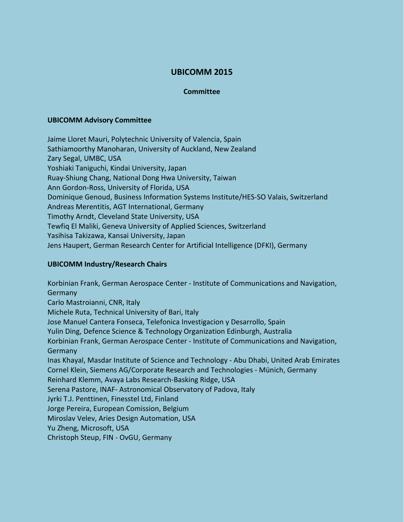# **UBICOMM 2015**

#### **Committee**

#### **UBICOMM Advisory Committee**

Jaime Lloret Mauri, Polytechnic University of Valencia, Spain Sathiamoorthy Manoharan, University of Auckland, New Zealand Zary Segal, UMBC, USA Yoshiaki Taniguchi, Kindai University, Japan Ruay-Shiung Chang, National Dong Hwa University, Taiwan Ann Gordon-Ross, University of Florida, USA Dominique Genoud, Business Information Systems Institute/HES-SO Valais, Switzerland Andreas Merentitis, AGT International, Germany Timothy Arndt, Cleveland State University, USA Tewfiq El Maliki, Geneva University of Applied Sciences, Switzerland Yasihisa Takizawa, Kansai University, Japan Jens Haupert, German Research Center for Artificial Intelligence (DFKI), Germany

### **UBICOMM Industry/Research Chairs**

Korbinian Frank, German Aerospace Center - Institute of Communications and Navigation, **Germany** Carlo Mastroianni, CNR, Italy Michele Ruta, Technical University of Bari, Italy Jose Manuel Cantera Fonseca, Telefonica Investigacion y Desarrollo, Spain Yulin Ding, Defence Science & Technology Organization Edinburgh, Australia Korbinian Frank, German Aerospace Center - Institute of Communications and Navigation, Germany Inas Khayal, Masdar Institute of Science and Technology - Abu Dhabi, United Arab Emirates Cornel Klein, Siemens AG/Corporate Research and Technologies - Münich, Germany Reinhard Klemm, Avaya Labs Research-Basking Ridge, USA Serena Pastore, INAF- Astronomical Observatory of Padova, Italy Jyrki T.J. Penttinen, Finesstel Ltd, Finland Jorge Pereira, European Comission, Belgium Miroslav Velev, Aries Design Automation, USA Yu Zheng, Microsoft, USA Christoph Steup, FIN - OvGU, Germany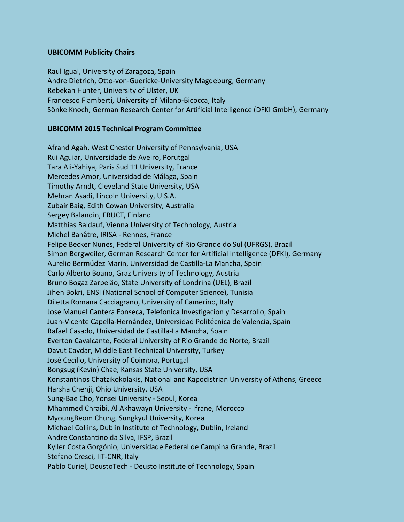# **UBICOMM Publicity Chairs**

Raul Igual, University of Zaragoza, Spain Andre Dietrich, Otto-von-Guericke-University Magdeburg, Germany Rebekah Hunter, University of Ulster, UK Francesco Fiamberti, University of Milano-Bicocca, Italy Sönke Knoch, German Research Center for Artificial Intelligence (DFKI GmbH), Germany

# **UBICOMM 2015 Technical Program Committee**

Afrand Agah, West Chester University of Pennsylvania, USA Rui Aguiar, Universidade de Aveiro, Porutgal Tara Ali-Yahiya, Paris Sud 11 University, France Mercedes Amor, Universidad de Málaga, Spain Timothy Arndt, Cleveland State University, USA Mehran Asadi, Lincoln University, U.S.A. Zubair Baig, Edith Cowan University, Australia Sergey Balandin, FRUCT, Finland Matthias Baldauf, Vienna University of Technology, Austria Michel Banâtre, IRISA - Rennes, France Felipe Becker Nunes, Federal University of Rio Grande do Sul (UFRGS), Brazil Simon Bergweiler, German Research Center for Artificial Intelligence (DFKI), Germany Aurelio Bermúdez Marin, Universidad de Castilla-La Mancha, Spain Carlo Alberto Boano, Graz University of Technology, Austria Bruno Bogaz Zarpelão, State University of Londrina (UEL), Brazil Jihen Bokri, ENSI (National School of Computer Science), Tunisia Diletta Romana Cacciagrano, University of Camerino, Italy Jose Manuel Cantera Fonseca, Telefonica Investigacion y Desarrollo, Spain Juan-Vicente Capella-Hernández, Universidad Politécnica de Valencia, Spain Rafael Casado, Universidad de Castilla-La Mancha, Spain Everton Cavalcante, Federal University of Rio Grande do Norte, Brazil Davut Cavdar, Middle East Technical University, Turkey José Cecílio, University of Coimbra, Portugal Bongsug (Kevin) Chae, Kansas State University, USA Konstantinos Chatzikokolakis, National and Kapodistrian University of Athens, Greece Harsha Chenji, Ohio University, USA Sung-Bae Cho, Yonsei University - Seoul, Korea Mhammed Chraibi, Al Akhawayn University - Ifrane, Morocco MyoungBeom Chung, Sungkyul University, Korea Michael Collins, Dublin Institute of Technology, Dublin, Ireland Andre Constantino da Silva, IFSP, Brazil Kyller Costa Gorgônio, Universidade Federal de Campina Grande, Brazil Stefano Cresci, IIT-CNR, Italy Pablo Curiel, DeustoTech - Deusto Institute of Technology, Spain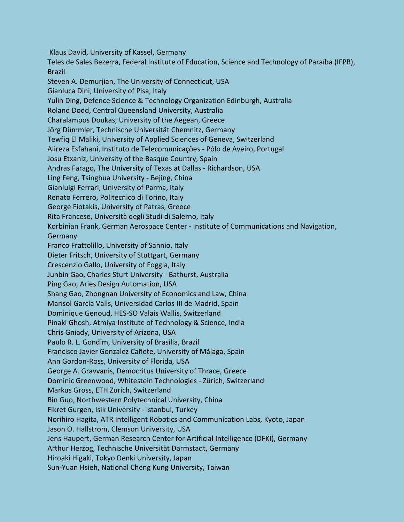Klaus David, University of Kassel, Germany Teles de Sales Bezerra, Federal Institute of Education, Science and Technology of Paraíba (IFPB), Brazil Steven A. Demurjian, The University of Connecticut, USA Gianluca Dini, University of Pisa, Italy Yulin Ding, Defence Science & Technology Organization Edinburgh, Australia Roland Dodd, Central Queensland University, Australia Charalampos Doukas, University of the Aegean, Greece Jörg Dümmler, Technische Universität Chemnitz, Germany Tewfiq El Maliki, University of Applied Sciences of Geneva, Switzerland Alireza Esfahani, Instituto de Telecomunicações - Pólo de Aveiro, Portugal Josu Etxaniz, University of the Basque Country, Spain Andras Farago, The University of Texas at Dallas - Richardson, USA Ling Feng, Tsinghua University - Bejing, China Gianluigi Ferrari, University of Parma, Italy Renato Ferrero, Politecnico di Torino, Italy George Fiotakis, University of Patras, Greece Rita Francese, Università degli Studi di Salerno, Italy Korbinian Frank, German Aerospace Center - Institute of Communications and Navigation, **Germany** Franco Frattolillo, University of Sannio, Italy Dieter Fritsch, University of Stuttgart, Germany Crescenzio Gallo, University of Foggia, Italy Junbin Gao, Charles Sturt University - Bathurst, Australia Ping Gao, Aries Design Automation, USA Shang Gao, Zhongnan University of Economics and Law, China Marisol García Valls, Universidad Carlos III de Madrid, Spain Dominique Genoud, HES-SO Valais Wallis, Switzerland Pinaki Ghosh, Atmiya Institute of Technology & Science, India Chris Gniady, University of Arizona, USA Paulo R. L. Gondim, University of Brasília, Brazil Francisco Javier Gonzalez Cañete, University of Málaga, Spain Ann Gordon-Ross, University of Florida, USA George A. Gravvanis, Democritus University of Thrace, Greece Dominic Greenwood, Whitestein Technologies - Zürich, Switzerland Markus Gross, ETH Zurich, Switzerland Bin Guo, Northwestern Polytechnical University, China Fikret Gurgen, Isik University - Istanbul, Turkey Norihiro Hagita, ATR Intelligent Robotics and Communication Labs, Kyoto, Japan Jason O. Hallstrom, Clemson University, USA Jens Haupert, German Research Center for Artificial Intelligence (DFKI), Germany Arthur Herzog, Technische Universität Darmstadt, Germany Hiroaki Higaki, Tokyo Denki University, Japan Sun-Yuan Hsieh, National Cheng Kung University, Taiwan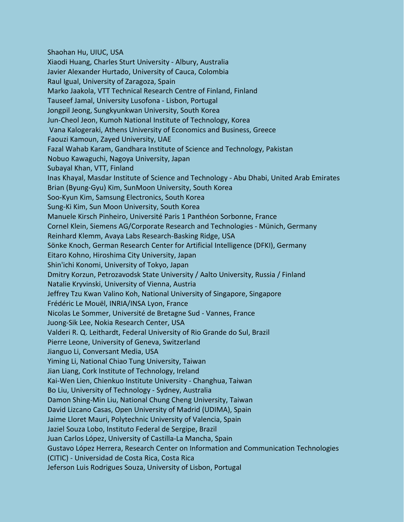Shaohan Hu, UIUC, USA Xiaodi Huang, Charles Sturt University - Albury, Australia Javier Alexander Hurtado, University of Cauca, Colombia Raul Igual, University of Zaragoza, Spain Marko Jaakola, VTT Technical Research Centre of Finland, Finland Tauseef Jamal, University Lusofona - Lisbon, Portugal Jongpil Jeong, Sungkyunkwan University, South Korea Jun-Cheol Jeon, Kumoh National Institute of Technology, Korea Vana Kalogeraki, Athens University of Economics and Business, Greece Faouzi Kamoun, Zayed University, UAE Fazal Wahab Karam, Gandhara Institute of Science and Technology, Pakistan Nobuo Kawaguchi, Nagoya University, Japan Subayal Khan, VTT, Finland Inas Khayal, Masdar Institute of Science and Technology - Abu Dhabi, United Arab Emirates Brian (Byung-Gyu) Kim, SunMoon University, South Korea Soo-Kyun Kim, Samsung Electronics, South Korea Sung-Ki Kim, Sun Moon University, South Korea Manuele Kirsch Pinheiro, Université Paris 1 Panthéon Sorbonne, France Cornel Klein, Siemens AG/Corporate Research and Technologies - Münich, Germany Reinhard Klemm, Avaya Labs Research-Basking Ridge, USA Sönke Knoch, German Research Center for Artificial Intelligence (DFKI), Germany Eitaro Kohno, Hiroshima City University, Japan Shin'ichi Konomi, University of Tokyo, Japan Dmitry Korzun, Petrozavodsk State University / Aalto University, Russia / Finland Natalie Kryvinski, University of Vienna, Austria Jeffrey Tzu Kwan Valino Koh, National University of Singapore, Singapore Frédéric Le Mouël, INRIA/INSA Lyon, France Nicolas Le Sommer, Université de Bretagne Sud - Vannes, France Juong-Sik Lee, Nokia Research Center, USA Valderi R. Q. Leithardt, Federal University of Rio Grande do Sul, Brazil Pierre Leone, University of Geneva, Switzerland Jianguo Li, Conversant Media, USA Yiming Li, National Chiao Tung University, Taiwan Jian Liang, Cork Institute of Technology, Ireland Kai-Wen Lien, Chienkuo Institute University - Changhua, Taiwan Bo Liu, University of Technology - Sydney, Australia Damon Shing-Min Liu, National Chung Cheng University, Taiwan David Lizcano Casas, Open University of Madrid (UDIMA), Spain Jaime Lloret Mauri, Polytechnic University of Valencia, Spain Jaziel Souza Lobo, Instituto Federal de Sergipe, Brazil Juan Carlos López, University of Castilla-La Mancha, Spain Gustavo López Herrera, Research Center on Information and Communication Technologies (CITIC) - Universidad de Costa Rica, Costa Rica Jeferson Luis Rodrigues Souza, University of Lisbon, Portugal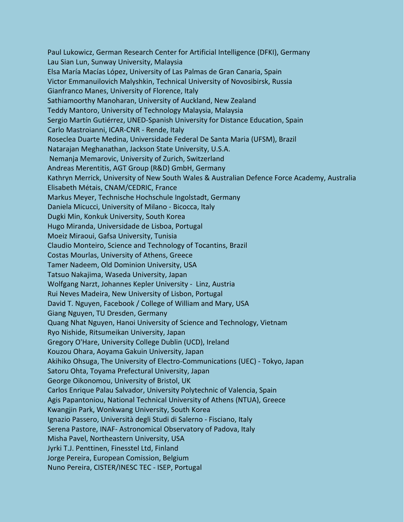Paul Lukowicz, German Research Center for Artificial Intelligence (DFKI), Germany Lau Sian Lun, Sunway University, Malaysia Elsa María Macías López, University of Las Palmas de Gran Canaria, Spain Victor Emmanuilovich Malyshkin, Technical University of Novosibirsk, Russia Gianfranco Manes, University of Florence, Italy Sathiamoorthy Manoharan, University of Auckland, New Zealand Teddy Mantoro, University of Technology Malaysia, Malaysia Sergio Martín Gutiérrez, UNED-Spanish University for Distance Education, Spain Carlo Mastroianni, ICAR-CNR - Rende, Italy Roseclea Duarte Medina, Universidade Federal De Santa Maria (UFSM), Brazil Natarajan Meghanathan, Jackson State University, U.S.A. Nemanja Memarovic, University of Zurich, Switzerland Andreas Merentitis, AGT Group (R&D) GmbH, Germany Kathryn Merrick, University of New South Wales & Australian Defence Force Academy, Australia Elisabeth Métais, CNAM/CEDRIC, France Markus Meyer, Technische Hochschule Ingolstadt, Germany Daniela Micucci, University of Milano - Bicocca, Italy Dugki Min, Konkuk University, South Korea Hugo Miranda, Universidade de Lisboa, Portugal Moeiz Miraoui, Gafsa University, Tunisia Claudio Monteiro, Science and Technology of Tocantins, Brazil Costas Mourlas, University of Athens, Greece Tamer Nadeem, Old Dominion University, USA Tatsuo Nakajima, Waseda University, Japan Wolfgang Narzt, Johannes Kepler University - Linz, Austria Rui Neves Madeira, New University of Lisbon, Portugal David T. Nguyen, Facebook / College of William and Mary, USA Giang Nguyen, TU Dresden, Germany Quang Nhat Nguyen, Hanoi University of Science and Technology, Vietnam Ryo Nishide, Ritsumeikan University, Japan Gregory O'Hare, University College Dublin (UCD), Ireland Kouzou Ohara, Aoyama Gakuin University, Japan Akihiko Ohsuga, The University of Electro-Communications (UEC) - Tokyo, Japan Satoru Ohta, Toyama Prefectural University, Japan George Oikonomou, University of Bristol, UK Carlos Enrique Palau Salvador, University Polytechnic of Valencia, Spain Agis Papantoniou, National Technical University of Athens (NTUA), Greece Kwangjin Park, Wonkwang University, South Korea Ignazio Passero, Università degli Studi di Salerno - Fisciano, Italy Serena Pastore, INAF- Astronomical Observatory of Padova, Italy Misha Pavel, Northeastern University, USA Jyrki T.J. Penttinen, Finesstel Ltd, Finland Jorge Pereira, European Comission, Belgium Nuno Pereira, CISTER/INESC TEC - ISEP, Portugal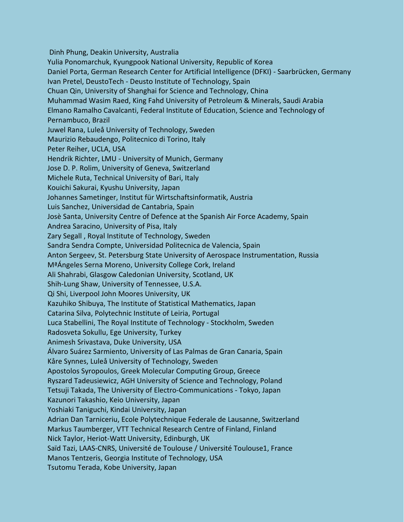Dinh Phung, Deakin University, Australia Yulia Ponomarchuk, Kyungpook National University, Republic of Korea Daniel Porta, German Research Center for Artificial Intelligence (DFKI) - Saarbrücken, Germany Ivan Pretel, DeustoTech - Deusto Institute of Technology, Spain Chuan Qin, University of Shanghai for Science and Technology, China Muhammad Wasim Raed, King Fahd University of Petroleum & Minerals, Saudi Arabia Elmano Ramalho Cavalcanti, Federal Institute of Education, Science and Technology of Pernambuco, Brazil Juwel Rana, Luleå University of Technology, Sweden Maurizio Rebaudengo, Politecnico di Torino, Italy Peter Reiher, UCLA, USA Hendrik Richter, LMU - University of Munich, Germany Jose D. P. Rolim, University of Geneva, Switzerland Michele Ruta, Technical University of Bari, Italy Kouichi Sakurai, Kyushu University, Japan Johannes Sametinger, Institut für Wirtschaftsinformatik, Austria Luis Sanchez, Universidad de Cantabria, Spain Josè Santa, University Centre of Defence at the Spanish Air Force Academy, Spain Andrea Saracino, University of Pisa, Italy Zary Segall , Royal Institute of Technology, Sweden Sandra Sendra Compte, Universidad Politecnica de Valencia, Spain Anton Sergeev, St. Petersburg State University of Aerospace Instrumentation, Russia MªÁngeles Serna Moreno, University College Cork, Ireland Ali Shahrabi, Glasgow Caledonian University, Scotland, UK Shih-Lung Shaw, University of Tennessee, U.S.A. Qi Shi, Liverpool John Moores University, UK Kazuhiko Shibuya, The Institute of Statistical Mathematics, Japan Catarina Silva, Polytechnic Institute of Leiria, Portugal Luca Stabellini, The Royal Institute of Technology - Stockholm, Sweden Radosveta Sokullu, Ege University, Turkey Animesh Srivastava, Duke University, USA Álvaro Suárez Sarmiento, University of Las Palmas de Gran Canaria, Spain Kåre Synnes, Luleå University of Technology, Sweden Apostolos Syropoulos, Greek Molecular Computing Group, Greece Ryszard Tadeusiewicz, AGH University of Science and Technology, Poland Tetsuji Takada, The University of Electro-Communications - Tokyo, Japan Kazunori Takashio, Keio University, Japan Yoshiaki Taniguchi, Kindai University, Japan Adrian Dan Tarniceriu, Ecole Polytechnique Federale de Lausanne, Switzerland Markus Taumberger, VTT Technical Research Centre of Finland, Finland Nick Taylor, Heriot-Watt University, Edinburgh, UK Saïd Tazi, LAAS-CNRS, Université de Toulouse / Université Toulouse1, France Manos Tentzeris, Georgia Institute of Technology, USA Tsutomu Terada, Kobe University, Japan